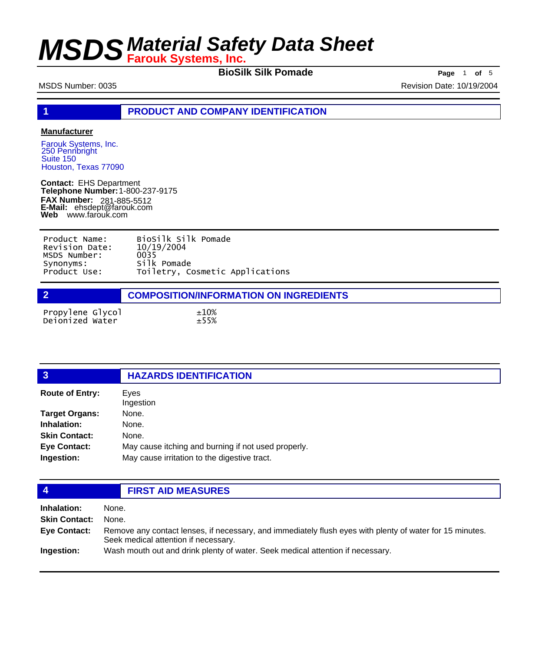**BioSilk Silk Pomade Page** 1 **of** 5

MSDS Number: 0035 Revision Date: 10/19/2004

**1 PRODUCT AND COMPANY IDENTIFICATION**

### **Manufacturer**

Farouk Systems, Inc. 250 Pennbright Suite 150 Houston, Texas 77090

**Contact:** EHS Department **Telephone Number:** 1-800-237-9175 **FAX Number: FAX Number:** 281-885-5512<br>**E-Mail:** ehsdept@farouk.com **Web** www.farouk.com

| Product Name:  | BioSilk Silk Pomade             |
|----------------|---------------------------------|
| Revision Date: | 10/19/2004                      |
| MSDS Number:   | 0035                            |
| Synonyms:      | Silk Pomade                     |
| Product Use:   | Toiletry, Cosmetic Applications |

|                                     | <b>COMPOSITION/INFORMATION ON INGREDIENTS</b> |
|-------------------------------------|-----------------------------------------------|
| Propylene Glycol<br>Deionized Water | ±10%<br>±55%                                  |

| $\overline{3}$         | <b>HAZARDS IDENTIFICATION</b>                       |  |
|------------------------|-----------------------------------------------------|--|
| <b>Route of Entry:</b> | Eyes<br>Ingestion                                   |  |
| <b>Target Organs:</b>  | None.                                               |  |
| Inhalation:            | None.                                               |  |
| <b>Skin Contact:</b>   | None.                                               |  |
| <b>Eye Contact:</b>    | May cause itching and burning if not used properly. |  |
| Ingestion:             | May cause irritation to the digestive tract.        |  |
|                        |                                                     |  |
|                        | <b>FIRST AID MEASURES</b>                           |  |

| Inhalation:          | None.                                                                                                                                            |
|----------------------|--------------------------------------------------------------------------------------------------------------------------------------------------|
| <b>Skin Contact:</b> | None.                                                                                                                                            |
| Eye Contact:         | Remove any contact lenses, if necessary, and immediately flush eyes with plenty of water for 15 minutes.<br>Seek medical attention if necessary. |
| Ingestion:           | Wash mouth out and drink plenty of water. Seek medical attention if necessary.                                                                   |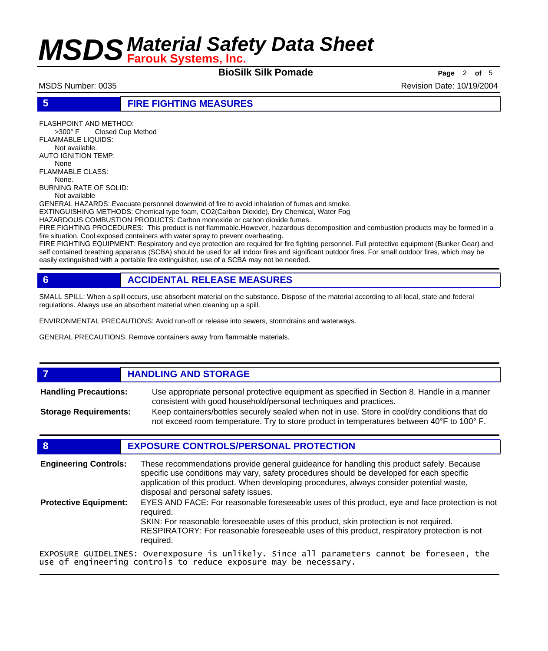**BioSilk Silk Pomade Page** <sup>2</sup> **of** <sup>5</sup>

MSDS Number: 0035 Revision Date: 10/19/2004

### **5 FIRE FIGHTING MEASURES**

FLASHPOINT AND METHOD: >300° F Closed Cup Method FLAMMABLE LIQUIDS:

 Not available. AUTO IGNITION TEMP:

 None FLAMMABLE CLASS: None.

BURNING RATE OF SOLID: Not available

GENERAL HAZARDS: Evacuate personnel downwind of fire to avoid inhalation of fumes and smoke.

EXTINGUISHING METHODS: Chemical type foam, CO2(Carbon Dioxide), Dry Chemical, Water Fog

HAZARDOUS COMBUSTION PRODUCTS: Carbon monoxide or carbon dioxide fumes.

FIRE FIGHTING PROCEDURES: This product is not flammable.However, hazardous decomposition and combustion products may be formed in a fire situation. Cool exposed containers with water spray to prevent overheating.

FIRE FIGHTING EQUIPMENT: Respiratory and eye protection are required for fire fighting personnel. Full protective equipment (Bunker Gear) and self contained breathing apparatus (SCBA) should be used for all indoor fires and significant outdoor fires. For small outdoor fires, which may be easily extinguished with a portable fire extinguisher, use of a SCBA may not be needed.

## **6 ACCIDENTAL RELEASE MEASURES**

SMALL SPILL: When a spill occurs, use absorbent material on the substance. Dispose of the material according to all local, state and federal regulations. Always use an absorbent material when cleaning up a spill.

ENVIRONMENTAL PRECAUTIONS: Avoid run-off or release into sewers, stormdrains and waterways.

GENERAL PRECAUTIONS: Remove containers away from flammable materials.

## *HANDLING AND STORAGE*

Use appropriate personal protective equipment as specified in Section 8. Handle in a manner consistent with good household/personal techniques and practices. **Handling Precautions:** Keep containers/bottles securely sealed when not in use. Store in cool/dry conditions that do **Storage Requirements:**

not exceed room temperature. Try to store product in temperatures between 40°F to 100° F.

## **8 EXPOSURE CONTROLS/PERSONAL PROTECTION**

These recommendations provide general guideance for handling this product safely. Because specific use conditions may vary, safety procedures should be developed for each specific application of this product. When developing procedures, always consider potential waste, disposal and personal safety issues. **Engineering Controls:** EYES AND FACE: For reasonable foreseeable uses of this product, eye and face protection is not required. SKIN: For reasonable foreseeable uses of this product, skin protection is not required. RESPIRATORY: For reasonable foreseeable uses of this product, respiratory protection is not required. **Protective Equipment:**

EXPOSURE GUIDELINES: Overexposure is unlikely. Since all parameters cannot be foreseen, the use of engineering controls to reduce exposure may be necessary.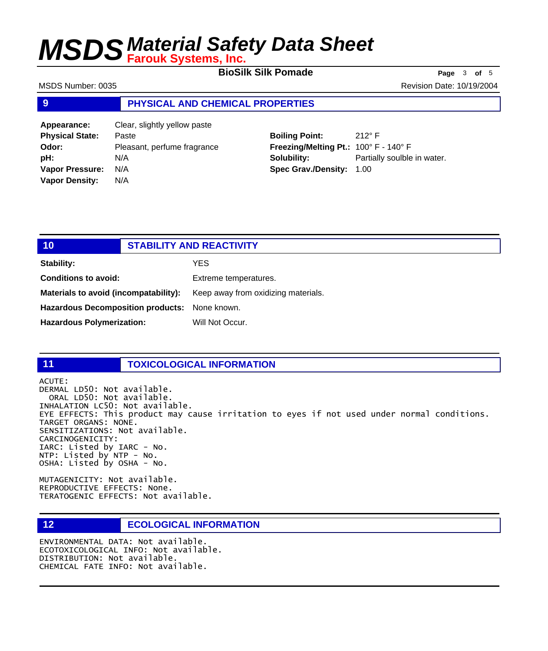**BioSilk Silk Pomade Page** 3 of 5

MSDS Number: 0035 **Revision Date: 10/19/2004** Revision Date: 10/19/2004

### **9 PHYSICAL AND CHEMICAL PROPERTIES**

**Appearance:** Clear, slightly yellow paste **Physical State:** Paste **Odor:** Pleasant, perfume fragrance **pH:** N/A **Vapor Pressure:** N/A **Vapor Density:** N/A

# **Boiling Point:** 212° F **Freezing/Melting Pt.:** 100° F - 140° F **Solubility:** Partially soulble in water. **Spec Grav./Density:** 1.00

| 10                                            |  | <b>STABILITY AND REACTIVITY</b>     |
|-----------------------------------------------|--|-------------------------------------|
| Stability:                                    |  | YES                                 |
| Conditions to avoid:                          |  | Extreme temperatures.               |
| Materials to avoid (incompatability):         |  | Keep away from oxidizing materials. |
| Hazardous Decomposition products: None known. |  |                                     |
| <b>Hazardous Polymerization:</b>              |  | Will Not Occur.                     |

# **11 TOXICOLOGICAL INFORMATION**

ACUTE: DERMAL LD50: Not available. ORAL LD50: Not available. INHALATION LC50: Not available. EYE EFFECTS: This product may cause irritation to eyes if not used under normal conditions. TARGET ORGANS: NONE. SENSITIZATIONS: Not available. CARCINOGENICITY: IARC: Listed by IARC - No. NTP: Listed by NTP - No. OSHA: Listed by OSHA - No.

MUTAGENICITY: Not available. REPRODUCTIVE EFFECTS: None. TERATOGENIC EFFECTS: Not available.

# **12 ECOLOGICAL INFORMATION**

ENVIRONMENTAL DATA: Not available. ECOTOXICOLOGICAL INFO: Not available. DISTRIBUTION: Not available. CHEMICAL FATE INFO: Not available.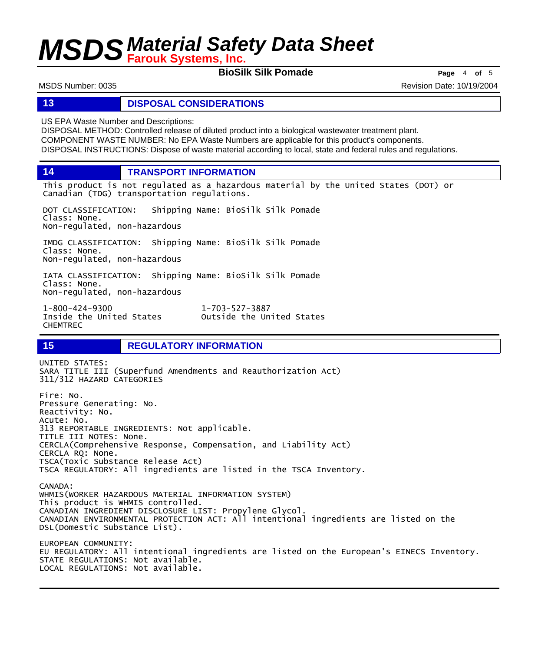**BioSilk Silk Pomade Page** <sup>4</sup> **of** <sup>5</sup>

MSDS Number: 0035 Revision Date: 10/19/2004

### **13 DISPOSAL CONSIDERATIONS**

US EPA Waste Number and Descriptions:

DISPOSAL METHOD: Controlled release of diluted product into a biological wastewater treatment plant. COMPONENT WASTE NUMBER: No EPA Waste Numbers are applicable for this product's components. DISPOSAL INSTRUCTIONS: Dispose of waste material according to local, state and federal rules and regulations.

**14 TRANSPORT INFORMATION**

This product is not regulated as a hazardous material by the United States (DOT) or Canadian (TDG) transportation regulations.

DOT CLASSIFICATION: Shipping Name: BioSilk Silk Pomade Class: None. Non-regulated, non-hazardous

IMDG CLASSIFICATION: Shipping Name: BioSilk Silk Pomade Class: None. Non-regulated, non-hazardous

IATA CLASSIFICATION: Shipping Name: BioSilk Silk Pomade Class: None. Non-regulated, non-hazardous

1-800-424-9300 1-703-527-3887 CHEMTREC

## **15 REGULATORY INFORMATION**

UNITED STATES: SARA TITLE III (Superfund Amendments and Reauthorization Act) 311/312 HAZARD CATEGORIES Fire: No. Pressure Generating: No. Reactivity: No. Acute: No. 313 REPORTABLE INGREDIENTS: Not applicable. TITLE III NOTES: None. CERCLA(Comprehensive Response, Compensation, and Liability Act) CERCLA RQ: None. TSCA(Toxic Substance Release Act) TSCA REGULATORY: All ingredients are listed in the TSCA Inventory. CANADA: WHMIS(WORKER HAZARDOUS MATERIAL INFORMATION SYSTEM) This product is WHMIS controlled. CANADIAN INGREDIENT DISCLOSURE LIST: Propylene Glycol. CANADIAN ENVIRONMENTAL PROTECTION ACT: All intentional ingredients are listed on the DSL(Domestic Substance List). EUROPEAN COMMUNITY: EU REGULATORY: All intentional ingredients are listed on the European's EINECS Inventory. STATE REGULATIONS: Not available. LOCAL REGULATIONS: Not available.

Outside the United States